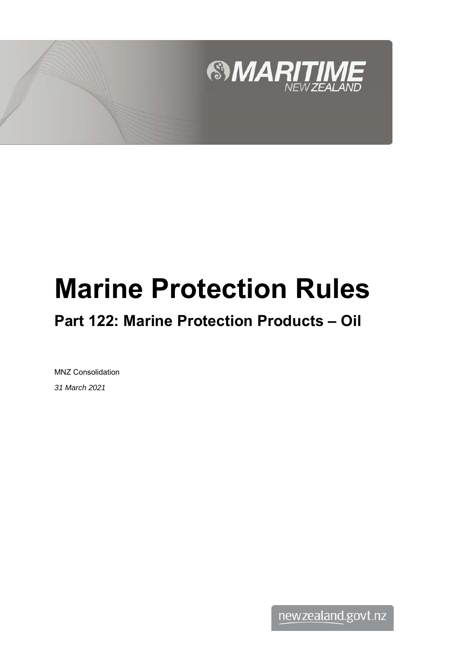

# **Marine Protection Rules**

# **Part 122: Marine Protection Products – Oil**

MNZ Consolidation *31 March 2021*

newzealand.govt.nz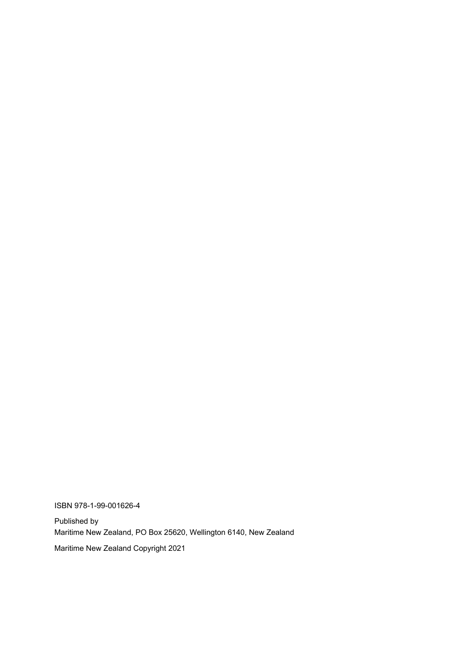ISBN 978-1-99-001626-4

Published by Maritime New Zealand, PO Box 25620, Wellington 6140, New Zealand

Maritime New Zealand Copyright 2021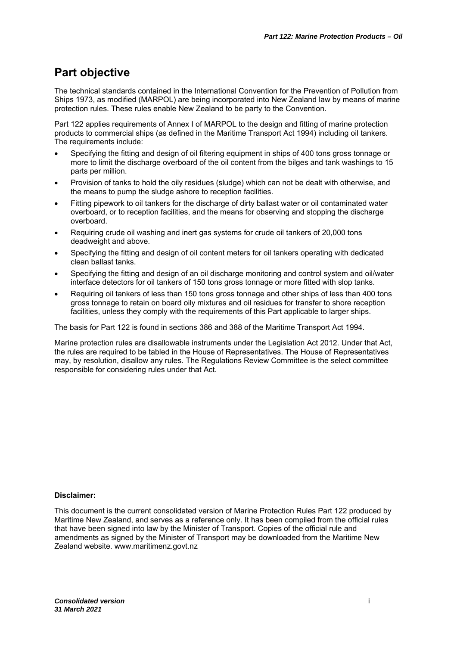## **Part objective**

The technical standards contained in the International Convention for the Prevention of Pollution from Ships 1973, as modified (MARPOL) are being incorporated into New Zealand law by means of marine protection rules. These rules enable New Zealand to be party to the Convention.

Part 122 applies requirements of Annex I of MARPOL to the design and fitting of marine protection products to commercial ships (as defined in the Maritime Transport Act 1994) including oil tankers. The requirements include:

- Specifying the fitting and design of oil filtering equipment in ships of 400 tons gross tonnage or more to limit the discharge overboard of the oil content from the bilges and tank washings to 15 parts per million.
- Provision of tanks to hold the oily residues (sludge) which can not be dealt with otherwise, and the means to pump the sludge ashore to reception facilities.
- Fitting pipework to oil tankers for the discharge of dirty ballast water or oil contaminated water overboard, or to reception facilities, and the means for observing and stopping the discharge overboard.
- Requiring crude oil washing and inert gas systems for crude oil tankers of 20,000 tons deadweight and above.
- Specifying the fitting and design of oil content meters for oil tankers operating with dedicated clean ballast tanks.
- Specifying the fitting and design of an oil discharge monitoring and control system and oil/water interface detectors for oil tankers of 150 tons gross tonnage or more fitted with slop tanks.
- Requiring oil tankers of less than 150 tons gross tonnage and other ships of less than 400 tons gross tonnage to retain on board oily mixtures and oil residues for transfer to shore reception facilities, unless they comply with the requirements of this Part applicable to larger ships.

The basis for Part 122 is found in sections 386 and 388 of the Maritime Transport Act 1994.

Marine protection rules are disallowable instruments under the Legislation Act 2012. Under that Act, the rules are required to be tabled in the House of Representatives. The House of Representatives may, by resolution, disallow any rules. The Regulations Review Committee is the select committee responsible for considering rules under that Act.

#### **Disclaimer:**

This document is the current consolidated version of Marine Protection Rules Part 122 produced by Maritime New Zealand, and serves as a reference only. It has been compiled from the official rules that have been signed into law by the Minister of Transport. Copies of the official rule and amendments as signed by the Minister of Transport may be downloaded from the Maritime New Zealand website. www.maritimenz.govt.nz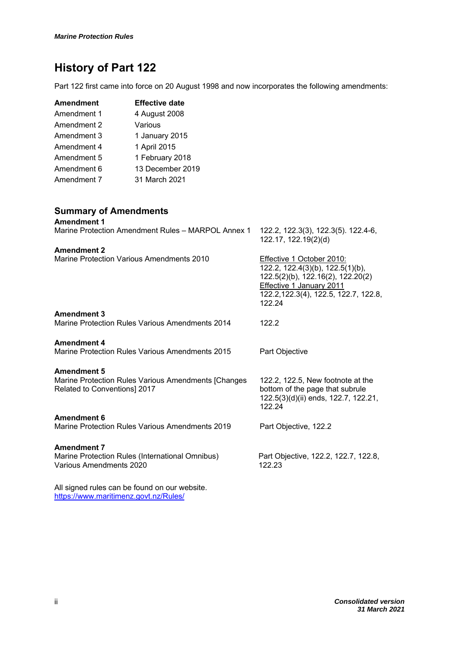## **History of Part 122**

Part 122 first came into force on 20 August 1998 and now incorporates the following amendments:

| Amendment   | <b>Effective date</b> |
|-------------|-----------------------|
| Amendment 1 | 4 August 2008         |
| Amendment 2 | Various               |
| Amendment 3 | 1 January 2015        |
| Amendment 4 | 1 April 2015          |
| Amendment 5 | 1 February 2018       |
| Amendment 6 | 13 December 2019      |
| Amendment 7 | 31 March 2021         |

#### **Summary of Amendments**

| <b>Amendment 1</b>                                                                  |                                                                                                                                                                                   |
|-------------------------------------------------------------------------------------|-----------------------------------------------------------------------------------------------------------------------------------------------------------------------------------|
| Marine Protection Amendment Rules - MARPOL Annex 1                                  | 122.2, 122.3(3), 122.3(5). 122.4-6,<br>122.17, 122.19(2)(d)                                                                                                                       |
| <b>Amendment 2</b>                                                                  |                                                                                                                                                                                   |
| Marine Protection Various Amendments 2010                                           | Effective 1 October 2010:<br>122.2, 122.4(3)(b), 122.5(1)(b),<br>122.5(2)(b), 122.16(2), 122.20(2)<br>Effective 1 January 2011<br>122.2, 122.3(4), 122.5, 122.7, 122.8,<br>122.24 |
| <b>Amendment 3</b>                                                                  |                                                                                                                                                                                   |
| Marine Protection Rules Various Amendments 2014                                     | 122.2                                                                                                                                                                             |
| <b>Amendment 4</b>                                                                  |                                                                                                                                                                                   |
| <b>Marine Protection Rules Various Amendments 2015</b>                              |                                                                                                                                                                                   |
|                                                                                     | Part Objective                                                                                                                                                                    |
| <b>Amendment 5</b>                                                                  |                                                                                                                                                                                   |
| Marine Protection Rules Various Amendments [Changes<br>Related to Conventions] 2017 | 122.2, 122.5, New footnote at the<br>bottom of the page that subrule<br>122.5(3)(d)(ii) ends, 122.7, 122.21,<br>122.24                                                            |
| <b>Amendment 6</b>                                                                  |                                                                                                                                                                                   |
| Marine Protection Rules Various Amendments 2019                                     | Part Objective, 122.2                                                                                                                                                             |
| <b>Amendment 7</b>                                                                  |                                                                                                                                                                                   |
| Marine Protection Rules (International Omnibus)                                     | Part Objective, 122.2, 122.7, 122.8,                                                                                                                                              |
| Various Amendments 2020                                                             | 122.23                                                                                                                                                                            |
| All signed rules can be found on our website.                                       |                                                                                                                                                                                   |
| https://www.maritimenz.govt.nz/Rules/                                               |                                                                                                                                                                                   |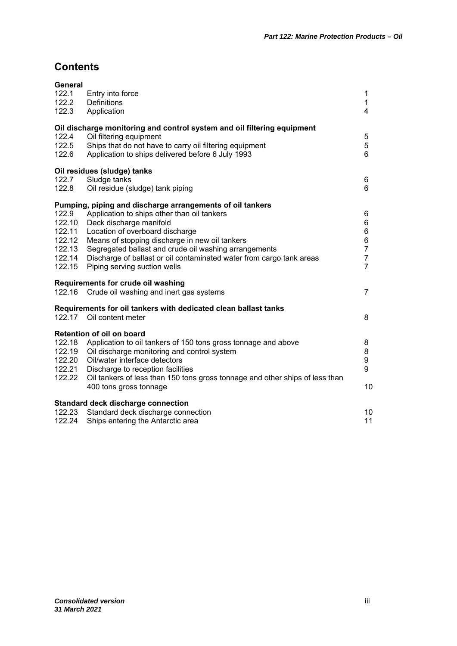### **Contents**

| General<br>122.1 | Entry into force                                                             | 1              |
|------------------|------------------------------------------------------------------------------|----------------|
| 122.2            | Definitions                                                                  | 1              |
| 122.3            | Application                                                                  | 4              |
|                  |                                                                              |                |
|                  | Oil discharge monitoring and control system and oil filtering equipment      |                |
| 122.4            | Oil filtering equipment                                                      | 5              |
| 122.5            | Ships that do not have to carry oil filtering equipment                      | 5              |
| 122.6            | Application to ships delivered before 6 July 1993                            | 6              |
|                  | Oil residues (sludge) tanks                                                  |                |
| 122.7            | Sludge tanks                                                                 | 6              |
| 122.8            | Oil residue (sludge) tank piping                                             | 6              |
|                  | Pumping, piping and discharge arrangements of oil tankers                    |                |
| 122.9            | Application to ships other than oil tankers                                  | 6              |
| 122.10           | Deck discharge manifold                                                      | 6              |
| 122.11           | Location of overboard discharge                                              | 6              |
| 122.12           | Means of stopping discharge in new oil tankers                               | 6              |
| 122.13           | Segregated ballast and crude oil washing arrangements                        | $\overline{7}$ |
| 122.14           | Discharge of ballast or oil contaminated water from cargo tank areas         | $\overline{7}$ |
| 122.15           | Piping serving suction wells                                                 | $\overline{7}$ |
|                  | Requirements for crude oil washing                                           |                |
| 122.16           | Crude oil washing and inert gas systems                                      | $\overline{7}$ |
|                  | Requirements for oil tankers with dedicated clean ballast tanks              |                |
| 122.17           | Oil content meter                                                            | 8              |
|                  | Retention of oil on board                                                    |                |
| 122.18           | Application to oil tankers of 150 tons gross tonnage and above               | 8              |
| 122.19           | Oil discharge monitoring and control system                                  | 8              |
| 122.20           | Oil/water interface detectors                                                | 9              |
| 122.21           | Discharge to reception facilities                                            | 9              |
| 122.22           | Oil tankers of less than 150 tons gross tonnage and other ships of less than |                |
|                  | 400 tons gross tonnage                                                       | 10             |
|                  | Standard deck discharge connection                                           |                |
| 122.23           | Standard deck discharge connection                                           | 10             |
| 122.24           | Ships entering the Antarctic area                                            | 11             |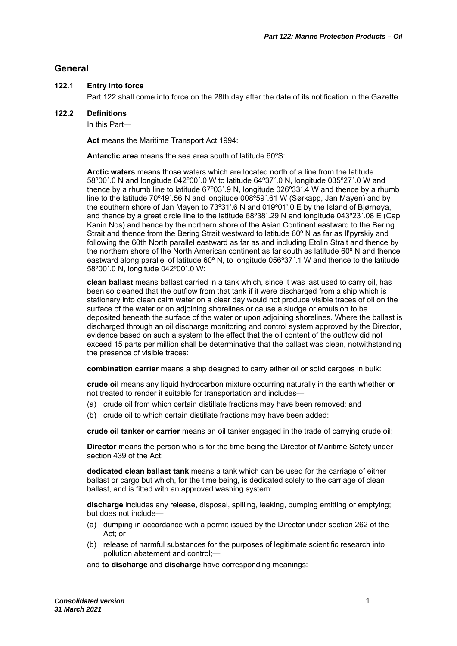#### **General**

#### **122.1 Entry into force**

Part 122 shall come into force on the 28th day after the date of its notification in the Gazette.

#### **122.2 Definitions**

In this Part—

**Act** means the Maritime Transport Act 1994:

**Antarctic area** means the sea area south of latitude 60ºS:

**Arctic waters** means those waters which are located north of a line from the latitude 58º00΄.0 N and longitude 042º00΄.0 W to latitude 64º37΄.0 N, longitude 035º27΄.0 W and thence by a rhumb line to latitude 67º03΄.9 N, longitude 026º33΄.4 W and thence by a rhumb line to the latitude 70º49΄.56 N and longitude 008º59΄.61 W (Sørkapp, Jan Mayen) and by the southern shore of Jan Mayen to 73º31'.6 N and 019º01'.0 E by the Island of Bjørnøya, and thence by a great circle line to the latitude 68º38΄.29 N and longitude 043º23΄.08 E (Cap Kanin Nos) and hence by the northern shore of the Asian Continent eastward to the Bering Strait and thence from the Bering Strait westward to latitude 60º N as far as Il'pyrskiy and following the 60th North parallel eastward as far as and including Etolin Strait and thence by the northern shore of the North American continent as far south as latitude 60º N and thence eastward along parallel of latitude 60º N, to longitude 056º37΄.1 W and thence to the latitude 58º00΄.0 N, longitude 042º00΄.0 W:

**clean ballast** means ballast carried in a tank which, since it was last used to carry oil, has been so cleaned that the outflow from that tank if it were discharged from a ship which is stationary into clean calm water on a clear day would not produce visible traces of oil on the surface of the water or on adjoining shorelines or cause a sludge or emulsion to be deposited beneath the surface of the water or upon adjoining shorelines. Where the ballast is discharged through an oil discharge monitoring and control system approved by the Director, evidence based on such a system to the effect that the oil content of the outflow did not exceed 15 parts per million shall be determinative that the ballast was clean, notwithstanding the presence of visible traces:

**combination carrier** means a ship designed to carry either oil or solid cargoes in bulk:

**crude oil** means any liquid hydrocarbon mixture occurring naturally in the earth whether or not treated to render it suitable for transportation and includes—

- (a) crude oil from which certain distillate fractions may have been removed; and
- (b) crude oil to which certain distillate fractions may have been added:

**crude oil tanker or carrier** means an oil tanker engaged in the trade of carrying crude oil:

**Director** means the person who is for the time being the Director of Maritime Safety under section 439 of the Act:

**dedicated clean ballast tank** means a tank which can be used for the carriage of either ballast or cargo but which, for the time being, is dedicated solely to the carriage of clean ballast, and is fitted with an approved washing system:

**discharge** includes any release, disposal, spilling, leaking, pumping emitting or emptying; but does not include—

- (a) dumping in accordance with a permit issued by the Director under section 262 of the Act; or
- (b) release of harmful substances for the purposes of legitimate scientific research into pollution abatement and control;-
- and **to discharge** and **discharge** have corresponding meanings: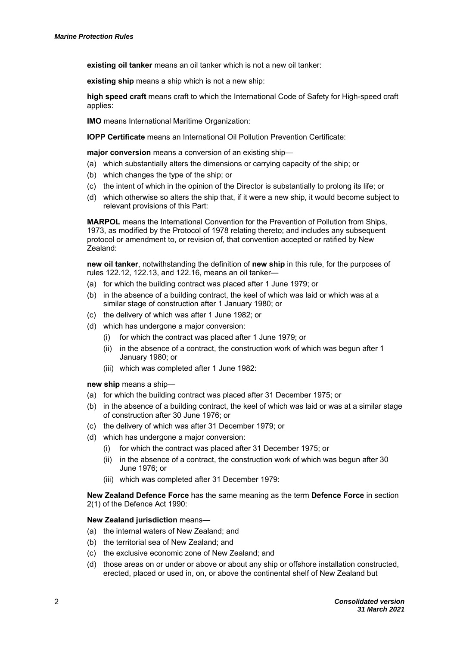**existing oil tanker** means an oil tanker which is not a new oil tanker:

**existing ship** means a ship which is not a new ship:

**high speed craft** means craft to which the International Code of Safety for High-speed craft applies:

**IMO** means International Maritime Organization:

**IOPP Certificate** means an International Oil Pollution Prevention Certificate:

**major conversion** means a conversion of an existing ship—

- (a) which substantially alters the dimensions or carrying capacity of the ship; or
- (b) which changes the type of the ship; or
- (c) the intent of which in the opinion of the Director is substantially to prolong its life; or
- (d) which otherwise so alters the ship that, if it were a new ship, it would become subject to relevant provisions of this Part:

**MARPOL** means the International Convention for the Prevention of Pollution from Ships, 1973, as modified by the Protocol of 1978 relating thereto; and includes any subsequent protocol or amendment to, or revision of, that convention accepted or ratified by New Zealand:

**new oil tanker**, notwithstanding the definition of **new ship** in this rule, for the purposes of rules 122.12, 122.13, and 122.16, means an oil tanker—

- (a) for which the building contract was placed after 1 June 1979; or
- (b) in the absence of a building contract, the keel of which was laid or which was at a similar stage of construction after 1 January 1980; or
- (c) the delivery of which was after 1 June 1982; or
- (d) which has undergone a major conversion:
	- (i) for which the contract was placed after 1 June 1979; or
	- (ii) in the absence of a contract, the construction work of which was begun after 1 January 1980; or
	- (iii) which was completed after 1 June 1982:

**new ship** means a ship—

- (a) for which the building contract was placed after 31 December 1975; or
- (b) in the absence of a building contract, the keel of which was laid or was at a similar stage of construction after 30 June 1976; or
- (c) the delivery of which was after 31 December 1979; or
- (d) which has undergone a major conversion:
	- (i) for which the contract was placed after 31 December 1975; or
	- (ii) in the absence of a contract, the construction work of which was begun after 30 June 1976; or
	- (iii) which was completed after 31 December 1979:

**New Zealand Defence Force** has the same meaning as the term **Defence Force** in section 2(1) of the Defence Act 1990:

#### **New Zealand jurisdiction** means—

- (a) the internal waters of New Zealand; and
- (b) the territorial sea of New Zealand; and
- (c) the exclusive economic zone of New Zealand; and
- (d) those areas on or under or above or about any ship or offshore installation constructed, erected, placed or used in, on, or above the continental shelf of New Zealand but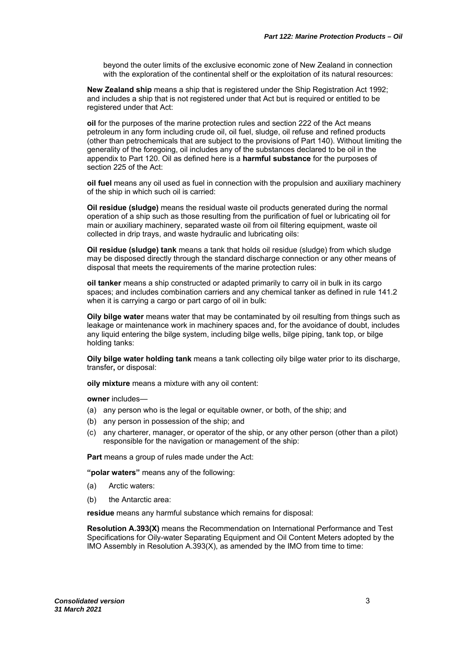beyond the outer limits of the exclusive economic zone of New Zealand in connection with the exploration of the continental shelf or the exploitation of its natural resources:

**New Zealand ship** means a ship that is registered under the Ship Registration Act 1992; and includes a ship that is not registered under that Act but is required or entitled to be registered under that Act:

**oil** for the purposes of the marine protection rules and section 222 of the Act means petroleum in any form including crude oil, oil fuel, sludge, oil refuse and refined products (other than petrochemicals that are subject to the provisions of Part 140). Without limiting the generality of the foregoing, oil includes any of the substances declared to be oil in the appendix to Part 120. Oil as defined here is a **harmful substance** for the purposes of section 225 of the Act:

**oil fuel** means any oil used as fuel in connection with the propulsion and auxiliary machinery of the ship in which such oil is carried:

**Oil residue (sludge)** means the residual waste oil products generated during the normal operation of a ship such as those resulting from the purification of fuel or lubricating oil for main or auxiliary machinery, separated waste oil from oil filtering equipment, waste oil collected in drip trays, and waste hydraulic and lubricating oils:

**Oil residue (sludge) tank** means a tank that holds oil residue (sludge) from which sludge may be disposed directly through the standard discharge connection or any other means of disposal that meets the requirements of the marine protection rules:

**oil tanker** means a ship constructed or adapted primarily to carry oil in bulk in its cargo spaces; and includes combination carriers and any chemical tanker as defined in rule 141.2 when it is carrying a cargo or part cargo of oil in bulk:

**Oily bilge water** means water that may be contaminated by oil resulting from things such as leakage or maintenance work in machinery spaces and, for the avoidance of doubt, includes any liquid entering the bilge system, including bilge wells, bilge piping, tank top, or bilge holding tanks:

**Oily bilge water holding tank** means a tank collecting oily bilge water prior to its discharge, transfer**,** or disposal:

**oily mixture** means a mixture with any oil content:

**owner** includes—

- (a) any person who is the legal or equitable owner, or both, of the ship; and
- (b) any person in possession of the ship; and
- (c) any charterer, manager, or operator of the ship, or any other person (other than a pilot) responsible for the navigation or management of the ship:

**Part** means a group of rules made under the Act:

**"polar waters"** means any of the following:

- (a) Arctic waters:
- (b) the Antarctic area:

**residue** means any harmful substance which remains for disposal:

**Resolution A.393(X)** means the Recommendation on International Performance and Test Specifications for Oily-water Separating Equipment and Oil Content Meters adopted by the IMO Assembly in Resolution A.393(X), as amended by the IMO from time to time: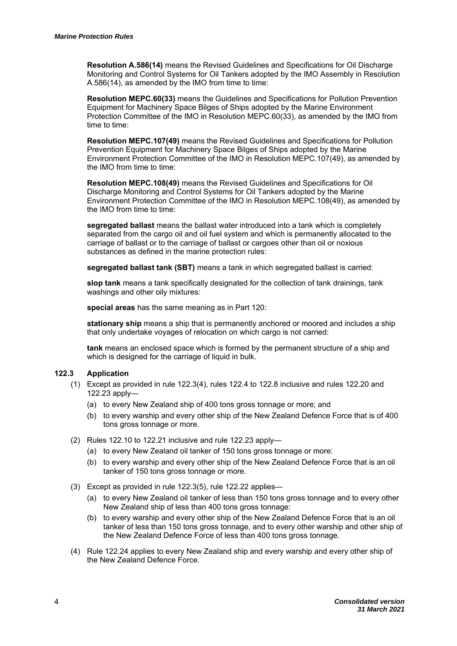**Resolution A.586(14)** means the Revised Guidelines and Specifications for Oil Discharge Monitoring and Control Systems for Oil Tankers adopted by the IMO Assembly in Resolution A.586(14), as amended by the IMO from time to time:

**Resolution MEPC.60(33)** means the Guidelines and Specifications for Pollution Prevention Equipment for Machinery Space Bilges of Ships adopted by the Marine Environment Protection Committee of the IMO in Resolution MEPC.60(33), as amended by the IMO from time to time:

**Resolution MEPC.107(49)** means the Revised Guidelines and Specifications for Pollution Prevention Equipment for Machinery Space Bilges of Ships adopted by the Marine Environment Protection Committee of the IMO in Resolution MEPC.107(49), as amended by the IMO from time to time:

**Resolution MEPC.108(49)** means the Revised Guidelines and Specifications for Oil Discharge Monitoring and Control Systems for Oil Tankers adopted by the Marine Environment Protection Committee of the IMO in Resolution MEPC.108(49), as amended by the IMO from time to time:

**segregated ballast** means the ballast water introduced into a tank which is completely separated from the cargo oil and oil fuel system and which is permanently allocated to the carriage of ballast or to the carriage of ballast or cargoes other than oil or noxious substances as defined in the marine protection rules:

**segregated ballast tank (SBT)** means a tank in which segregated ballast is carried:

**slop tank** means a tank specifically designated for the collection of tank drainings, tank washings and other oily mixtures:

**special areas** has the same meaning as in Part 120:

**stationary ship** means a ship that is permanently anchored or moored and includes a ship that only undertake voyages of relocation on which cargo is not carried:

**tank** means an enclosed space which is formed by the permanent structure of a ship and which is designed for the carriage of liquid in bulk.

#### **122.3 Application**

- (1) Except as provided in rule 122.3(4), rules 122.4 to 122.8 inclusive and rules 122.20 and 122.23 apply—
	- (a) to every New Zealand ship of 400 tons gross tonnage or more; and
	- (b) to every warship and every other ship of the New Zealand Defence Force that is of 400 tons gross tonnage or more.
- (2) Rules 122.10 to 122.21 inclusive and rule 122.23 apply—
	- (a) to every New Zealand oil tanker of 150 tons gross tonnage or more:
	- (b) to every warship and every other ship of the New Zealand Defence Force that is an oil tanker of 150 tons gross tonnage or more.
- (3) Except as provided in rule 122.3(5), rule 122.22 applies—
	- (a) to every New Zealand oil tanker of less than 150 tons gross tonnage and to every other New Zealand ship of less than 400 tons gross tonnage:
	- (b) to every warship and every other ship of the New Zealand Defence Force that is an oil tanker of less than 150 tons gross tonnage, and to every other warship and other ship of the New Zealand Defence Force of less than 400 tons gross tonnage.
- (4) Rule 122.24 applies to every New Zealand ship and every warship and every other ship of the New Zealand Defence Force.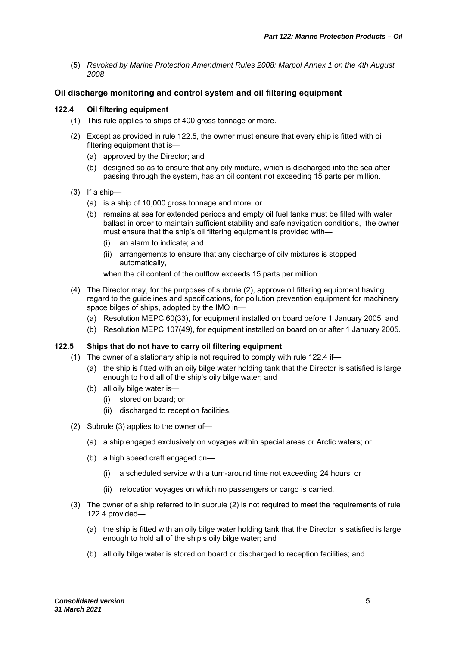(5) *Revoked by Marine Protection Amendment Rules 2008: Marpol Annex 1 on the 4th August 2008* 

#### **Oil discharge monitoring and control system and oil filtering equipment**

#### **122.4 Oil filtering equipment**

- (1) This rule applies to ships of 400 gross tonnage or more.
- (2) Except as provided in rule 122.5, the owner must ensure that every ship is fitted with oil filtering equipment that is-
	- (a) approved by the Director; and
	- (b) designed so as to ensure that any oily mixture, which is discharged into the sea after passing through the system, has an oil content not exceeding 15 parts per million.
- (3) If a ship—
	- (a) is a ship of 10,000 gross tonnage and more; or
	- (b) remains at sea for extended periods and empty oil fuel tanks must be filled with water ballast in order to maintain sufficient stability and safe navigation conditions, the owner must ensure that the ship's oil filtering equipment is provided with—
		- (i) an alarm to indicate; and
		- (ii) arrangements to ensure that any discharge of oily mixtures is stopped automatically,

when the oil content of the outflow exceeds 15 parts per million.

- (4) The Director may, for the purposes of subrule (2), approve oil filtering equipment having regard to the guidelines and specifications, for pollution prevention equipment for machinery space bilges of ships, adopted by the IMO in—
	- (a) Resolution MEPC.60(33), for equipment installed on board before 1 January 2005; and
	- (b) Resolution MEPC.107(49), for equipment installed on board on or after 1 January 2005.

#### **122.5 Ships that do not have to carry oil filtering equipment**

- (1) The owner of a stationary ship is not required to comply with rule 122.4 if—
	- (a) the ship is fitted with an oily bilge water holding tank that the Director is satisfied is large enough to hold all of the ship's oily bilge water; and
	- (b) all oily bilge water is—
		- (i) stored on board; or
		- (ii) discharged to reception facilities.
- (2) Subrule (3) applies to the owner of—
	- (a) a ship engaged exclusively on voyages within special areas or Arctic waters; or
	- (b) a high speed craft engaged on—
		- (i) a scheduled service with a turn-around time not exceeding 24 hours; or
		- (ii) relocation voyages on which no passengers or cargo is carried.
- (3) The owner of a ship referred to in subrule (2) is not required to meet the requirements of rule 122.4 provided—
	- (a) the ship is fitted with an oily bilge water holding tank that the Director is satisfied is large enough to hold all of the ship's oily bilge water; and
	- (b) all oily bilge water is stored on board or discharged to reception facilities; and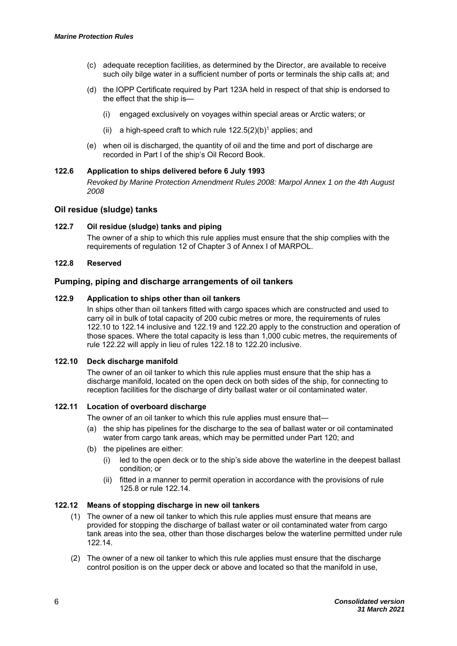- (c) adequate reception facilities, as determined by the Director, are available to receive such oily bilge water in a sufficient number of ports or terminals the ship calls at; and
- (d) the IOPP Certificate required by Part 123A held in respect of that ship is endorsed to the effect that the ship is—
	- (i) engaged exclusively on voyages within special areas or Arctic waters; or
	- (ii) a high-speed craft to which rule  $122.5(2)(b)^{1}$  applies; and
- (e) when oil is discharged, the quantity of oil and the time and port of discharge are recorded in Part I of the ship's Oil Record Book.

#### **122.6 Application to ships delivered before 6 July 1993**  *Revoked by Marine Protection Amendment Rules 2008: Marpol Annex 1 on the 4th August 2008*

#### **Oil residue (sludge) tanks**

#### **122.7 Oil residue (sludge) tanks and piping**

The owner of a ship to which this rule applies must ensure that the ship complies with the requirements of regulation 12 of Chapter 3 of Annex I of MARPOL.

#### **122.8 Reserved**

#### **Pumping, piping and discharge arrangements of oil tankers**

#### **122.9 Application to ships other than oil tankers**

In ships other than oil tankers fitted with cargo spaces which are constructed and used to carry oil in bulk of total capacity of 200 cubic metres or more, the requirements of rules 122.10 to 122.14 inclusive and 122.19 and 122.20 apply to the construction and operation of those spaces. Where the total capacity is less than 1,000 cubic metres, the requirements of rule 122.22 will apply in lieu of rules 122.18 to 122.20 inclusive.

#### **122.10 Deck discharge manifold**

The owner of an oil tanker to which this rule applies must ensure that the ship has a discharge manifold, located on the open deck on both sides of the ship, for connecting to reception facilities for the discharge of dirty ballast water or oil contaminated water.

#### **122.11 Location of overboard discharge**

The owner of an oil tanker to which this rule applies must ensure that—

- (a) the ship has pipelines for the discharge to the sea of ballast water or oil contaminated water from cargo tank areas, which may be permitted under Part 120; and
- (b) the pipelines are either:
	- (i) led to the open deck or to the ship's side above the waterline in the deepest ballast condition; or
	- (ii) fitted in a manner to permit operation in accordance with the provisions of rule 125.8 or rule 122.14.

#### **122.12 Means of stopping discharge in new oil tankers**

- (1) The owner of a new oil tanker to which this rule applies must ensure that means are provided for stopping the discharge of ballast water or oil contaminated water from cargo tank areas into the sea, other than those discharges below the waterline permitted under rule 122.14.
- (2) The owner of a new oil tanker to which this rule applies must ensure that the discharge control position is on the upper deck or above and located so that the manifold in use,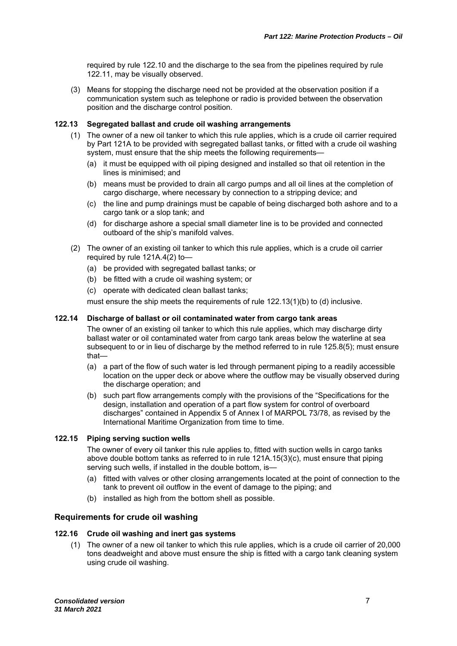required by rule 122.10 and the discharge to the sea from the pipelines required by rule 122.11, may be visually observed.

(3) Means for stopping the discharge need not be provided at the observation position if a communication system such as telephone or radio is provided between the observation position and the discharge control position.

#### **122.13 Segregated ballast and crude oil washing arrangements**

- (1) The owner of a new oil tanker to which this rule applies, which is a crude oil carrier required by Part 121A to be provided with segregated ballast tanks, or fitted with a crude oil washing system, must ensure that the ship meets the following requirements—
	- (a) it must be equipped with oil piping designed and installed so that oil retention in the lines is minimised; and
	- (b) means must be provided to drain all cargo pumps and all oil lines at the completion of cargo discharge, where necessary by connection to a stripping device; and
	- (c) the line and pump drainings must be capable of being discharged both ashore and to a cargo tank or a slop tank; and
	- (d) for discharge ashore a special small diameter line is to be provided and connected outboard of the ship's manifold valves.
- (2) The owner of an existing oil tanker to which this rule applies, which is a crude oil carrier required by rule 121A.4(2) to—
	- (a) be provided with segregated ballast tanks; or
	- (b) be fitted with a crude oil washing system; or
	- (c) operate with dedicated clean ballast tanks;

must ensure the ship meets the requirements of rule 122.13(1)(b) to (d) inclusive.

#### **122.14 Discharge of ballast or oil contaminated water from cargo tank areas**

The owner of an existing oil tanker to which this rule applies, which may discharge dirty ballast water or oil contaminated water from cargo tank areas below the waterline at sea subsequent to or in lieu of discharge by the method referred to in rule 125.8(5); must ensure that—

- (a) a part of the flow of such water is led through permanent piping to a readily accessible location on the upper deck or above where the outflow may be visually observed during the discharge operation; and
- (b) such part flow arrangements comply with the provisions of the "Specifications for the design, installation and operation of a part flow system for control of overboard discharges" contained in Appendix 5 of Annex I of MARPOL 73/78, as revised by the International Maritime Organization from time to time.

#### **122.15 Piping serving suction wells**

The owner of every oil tanker this rule applies to, fitted with suction wells in cargo tanks above double bottom tanks as referred to in rule 121A.15(3)(c), must ensure that piping serving such wells, if installed in the double bottom, is-

- (a) fitted with valves or other closing arrangements located at the point of connection to the tank to prevent oil outflow in the event of damage to the piping; and
- (b) installed as high from the bottom shell as possible.

#### **Requirements for crude oil washing**

#### **122.16 Crude oil washing and inert gas systems**

(1) The owner of a new oil tanker to which this rule applies, which is a crude oil carrier of 20,000 tons deadweight and above must ensure the ship is fitted with a cargo tank cleaning system using crude oil washing.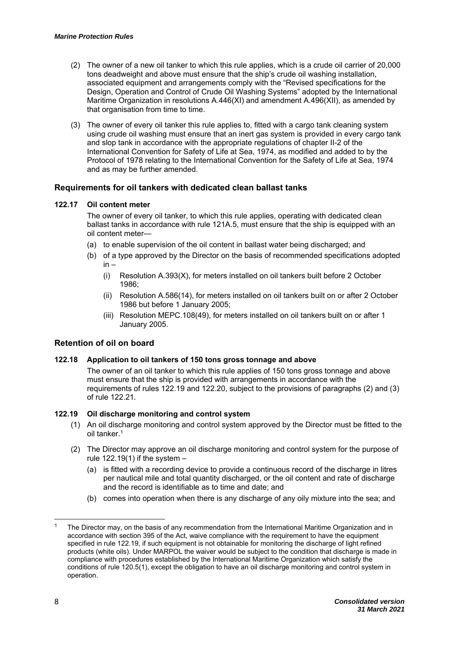- (2) The owner of a new oil tanker to which this rule applies, which is a crude oil carrier of 20,000 tons deadweight and above must ensure that the ship's crude oil washing installation, associated equipment and arrangements comply with the "Revised specifications for the Design, Operation and Control of Crude Oil Washing Systems" adopted by the International Maritime Organization in resolutions A.446(XI) and amendment A.496(XII), as amended by that organisation from time to time.
- (3) The owner of every oil tanker this rule applies to, fitted with a cargo tank cleaning system using crude oil washing must ensure that an inert gas system is provided in every cargo tank and slop tank in accordance with the appropriate regulations of chapter II-2 of the International Convention for Safety of Life at Sea, 1974, as modified and added to by the Protocol of 1978 relating to the International Convention for the Safety of Life at Sea, 1974 and as may be further amended.

#### **Requirements for oil tankers with dedicated clean ballast tanks**

#### **122.17 Oil content meter**

The owner of every oil tanker, to which this rule applies, operating with dedicated clean ballast tanks in accordance with rule 121A.5, must ensure that the ship is equipped with an oil content meter—

- (a) to enable supervision of the oil content in ballast water being discharged; and
- (b) of a type approved by the Director on the basis of recommended specifications adopted in –
	- (i) Resolution A.393(X), for meters installed on oil tankers built before 2 October 1986;
	- (ii) Resolution A.586(14), for meters installed on oil tankers built on or after 2 October 1986 but before 1 January 2005;
	- (iii) Resolution MEPC.108(49), for meters installed on oil tankers built on or after 1 January 2005.

#### **Retention of oil on board**

#### **122.18 Application to oil tankers of 150 tons gross tonnage and above**

The owner of an oil tanker to which this rule applies of 150 tons gross tonnage and above must ensure that the ship is provided with arrangements in accordance with the requirements of rules 122.19 and 122.20, subject to the provisions of paragraphs (2) and (3) of rule 122.21.

#### **122.19 Oil discharge monitoring and control system**

- (1) An oil discharge monitoring and control system approved by the Director must be fitted to the oil tanker<sup>1</sup>
- (2) The Director may approve an oil discharge monitoring and control system for the purpose of rule  $122.19(1)$  if the system  $-$ 
	- (a) is fitted with a recording device to provide a continuous record of the discharge in litres per nautical mile and total quantity discharged, or the oil content and rate of discharge and the record is identifiable as to time and date; and
	- (b) comes into operation when there is any discharge of any oily mixture into the sea; and

1

The Director may, on the basis of any recommendation from the International Maritime Organization and in accordance with section 395 of the Act, waive compliance with the requirement to have the equipment specified in rule 122.19, if such equipment is not obtainable for monitoring the discharge of light refined products (white oils). Under MARPOL the waiver would be subject to the condition that discharge is made in compliance with procedures established by the International Maritime Organization which satisfy the conditions of rule 120.5(1), except the obligation to have an oil discharge monitoring and control system in operation.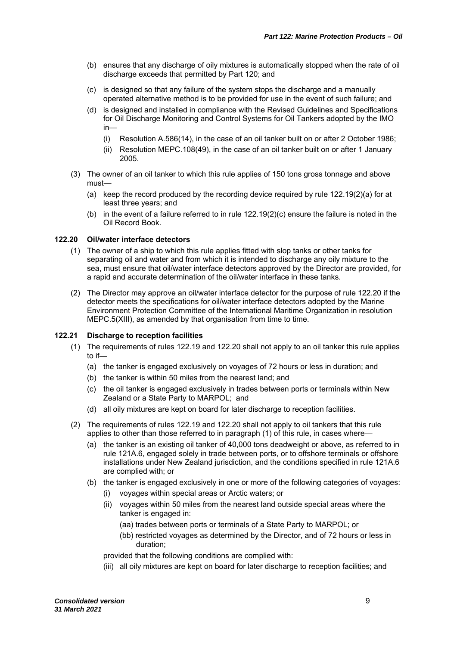- (b) ensures that any discharge of oily mixtures is automatically stopped when the rate of oil discharge exceeds that permitted by Part 120; and
- (c) is designed so that any failure of the system stops the discharge and a manually operated alternative method is to be provided for use in the event of such failure; and
- (d) is designed and installed in compliance with the Revised Guidelines and Specifications for Oil Discharge Monitoring and Control Systems for Oil Tankers adopted by the IMO in—
	- (i) Resolution A.586(14), in the case of an oil tanker built on or after 2 October 1986;
	- (ii) Resolution MEPC.108(49), in the case of an oil tanker built on or after 1 January 2005.
- (3) The owner of an oil tanker to which this rule applies of 150 tons gross tonnage and above must—
	- (a) keep the record produced by the recording device required by rule 122.19(2)(a) for at least three years; and
	- (b) in the event of a failure referred to in rule 122.19(2)(c) ensure the failure is noted in the Oil Record Book.

#### **122.20 Oil/water interface detectors**

- (1) The owner of a ship to which this rule applies fitted with slop tanks or other tanks for separating oil and water and from which it is intended to discharge any oily mixture to the sea, must ensure that oil/water interface detectors approved by the Director are provided, for a rapid and accurate determination of the oil/water interface in these tanks.
- (2) The Director may approve an oil/water interface detector for the purpose of rule 122.20 if the detector meets the specifications for oil/water interface detectors adopted by the Marine Environment Protection Committee of the International Maritime Organization in resolution MEPC.5(XIII), as amended by that organisation from time to time.

#### **122.21 Discharge to reception facilities**

- (1) The requirements of rules 122.19 and 122.20 shall not apply to an oil tanker this rule applies to if—
	- (a) the tanker is engaged exclusively on voyages of 72 hours or less in duration; and
	- (b) the tanker is within 50 miles from the nearest land; and
	- (c) the oil tanker is engaged exclusively in trades between ports or terminals within New Zealand or a State Party to MARPOL; and
	- (d) all oily mixtures are kept on board for later discharge to reception facilities.
- (2) The requirements of rules 122.19 and 122.20 shall not apply to oil tankers that this rule applies to other than those referred to in paragraph (1) of this rule, in cases where—
	- (a) the tanker is an existing oil tanker of 40,000 tons deadweight or above, as referred to in rule 121A.6, engaged solely in trade between ports, or to offshore terminals or offshore installations under New Zealand jurisdiction, and the conditions specified in rule 121A.6 are complied with; or
	- (b) the tanker is engaged exclusively in one or more of the following categories of voyages:
		- (i) voyages within special areas or Arctic waters; or
		- (ii) voyages within 50 miles from the nearest land outside special areas where the tanker is engaged in:
			- (aa) trades between ports or terminals of a State Party to MARPOL; or
			- (bb) restricted voyages as determined by the Director, and of 72 hours or less in duration;

provided that the following conditions are complied with:

(iii) all oily mixtures are kept on board for later discharge to reception facilities; and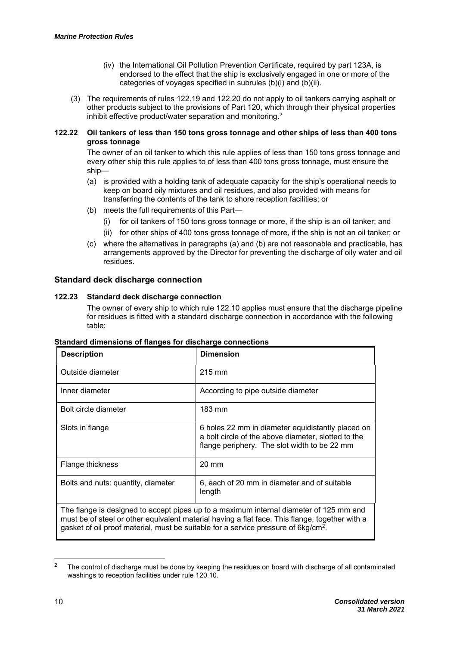- (iv) the International Oil Pollution Prevention Certificate, required by part 123A, is endorsed to the effect that the ship is exclusively engaged in one or more of the categories of voyages specified in subrules (b)(i) and (b)(ii).
- (3) The requirements of rules 122.19 and 122.20 do not apply to oil tankers carrying asphalt or other products subject to the provisions of Part 120, which through their physical properties inhibit effective product/water separation and monitoring.2

#### **122.22 Oil tankers of less than 150 tons gross tonnage and other ships of less than 400 tons gross tonnage**

The owner of an oil tanker to which this rule applies of less than 150 tons gross tonnage and every other ship this rule applies to of less than 400 tons gross tonnage, must ensure the ship—

- (a) is provided with a holding tank of adequate capacity for the ship's operational needs to keep on board oily mixtures and oil residues, and also provided with means for transferring the contents of the tank to shore reception facilities; or
- (b) meets the full requirements of this Part—
	- (i) for oil tankers of 150 tons gross tonnage or more, if the ship is an oil tanker; and
	- (ii) for other ships of 400 tons gross tonnage of more, if the ship is not an oil tanker; or
- (c) where the alternatives in paragraphs (a) and (b) are not reasonable and practicable, has arrangements approved by the Director for preventing the discharge of oily water and oil residues.

#### **Standard deck discharge connection**

#### **122.23 Standard deck discharge connection**

The owner of every ship to which rule 122.10 applies must ensure that the discharge pipeline for residues is fitted with a standard discharge connection in accordance with the following table:

| <b>Description</b>                                                                                                                                                                                                                                                                         | <b>Dimension</b>                                                                                                                                         |
|--------------------------------------------------------------------------------------------------------------------------------------------------------------------------------------------------------------------------------------------------------------------------------------------|----------------------------------------------------------------------------------------------------------------------------------------------------------|
| Outside diameter                                                                                                                                                                                                                                                                           | $215 \text{ mm}$                                                                                                                                         |
| Inner diameter                                                                                                                                                                                                                                                                             | According to pipe outside diameter                                                                                                                       |
| Bolt circle diameter                                                                                                                                                                                                                                                                       | $183 \text{ mm}$                                                                                                                                         |
| Slots in flange                                                                                                                                                                                                                                                                            | 6 holes 22 mm in diameter equidistantly placed on<br>a bolt circle of the above diameter, slotted to the<br>flange periphery. The slot width to be 22 mm |
| Flange thickness                                                                                                                                                                                                                                                                           | $20 \text{ mm}$                                                                                                                                          |
| Bolts and nuts: quantity, diameter                                                                                                                                                                                                                                                         | 6, each of 20 mm in diameter and of suitable<br>length                                                                                                   |
| The flange is designed to accept pipes up to a maximum internal diameter of 125 mm and<br>must be of steel or other equivalent material having a flat face. This flange, together with a<br>gasket of oil proof material, must be suitable for a service pressure of 6kg/cm <sup>2</sup> . |                                                                                                                                                          |

#### **Standard dimensions of flanges for discharge connections**

1

<sup>2</sup> The control of discharge must be done by keeping the residues on board with discharge of all contaminated washings to reception facilities under rule 120.10.